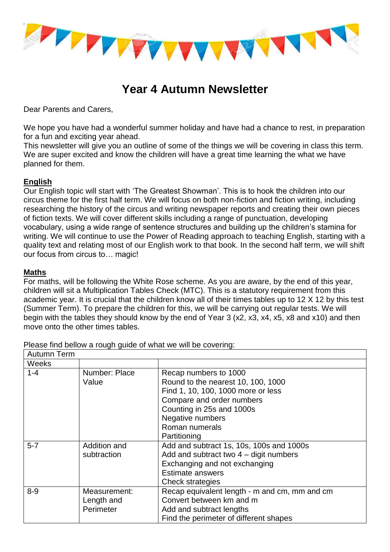

# **Year 4 Autumn Newsletter**

Dear Parents and Carers,

We hope you have had a wonderful summer holiday and have had a chance to rest, in preparation for a fun and exciting year ahead.

This newsletter will give you an outline of some of the things we will be covering in class this term. We are super excited and know the children will have a great time learning the what we have planned for them.

## **English**

Our English topic will start with 'The Greatest Showman'. This is to hook the children into our circus theme for the first half term. We will focus on both non-fiction and fiction writing, including researching the history of the circus and writing newspaper reports and creating their own pieces of fiction texts. We will cover different skills including a range of punctuation, developing vocabulary, using a wide range of sentence structures and building up the children's stamina for writing. We will continue to use the Power of Reading approach to teaching English, starting with a quality text and relating most of our English work to that book. In the second half term, we will shift our focus from circus to… magic!

#### **Maths**

For maths, will be following the White Rose scheme. As you are aware, by the end of this year, children will sit a Multiplication Tables Check (MTC). This is a statutory requirement from this academic year. It is crucial that the children know all of their times tables up to 12 X 12 by this test (Summer Term). To prepare the children for this, we will be carrying out regular tests. We will begin with the tables they should know by the end of Year 3 (x2, x3, x4, x5, x8 and x10) and then move onto the other times tables.

| Autumn Term |               |                                               |  |
|-------------|---------------|-----------------------------------------------|--|
| Weeks       |               |                                               |  |
| $1 - 4$     | Number: Place | Recap numbers to 1000                         |  |
|             | Value         | Round to the nearest 10, 100, 1000            |  |
|             |               | Find 1, 10, 100, 1000 more or less            |  |
|             |               | Compare and order numbers                     |  |
|             |               | Counting in 25s and 1000s                     |  |
|             |               | Negative numbers                              |  |
|             |               | Roman numerals                                |  |
|             |               | Partitioning                                  |  |
| $5 - 7$     | Addition and  | Add and subtract 1s, 10s, 100s and 1000s      |  |
|             | subtraction   | Add and subtract two $4 -$ digit numbers      |  |
|             |               | Exchanging and not exchanging                 |  |
|             |               | <b>Estimate answers</b>                       |  |
|             |               | Check strategies                              |  |
| $8 - 9$     | Measurement:  | Recap equivalent length - m and cm, mm and cm |  |
|             | Length and    | Convert between km and m                      |  |
|             | Perimeter     | Add and subtract lengths                      |  |
|             |               | Find the perimeter of different shapes        |  |

Please find bellow a rough guide of what we will be covering: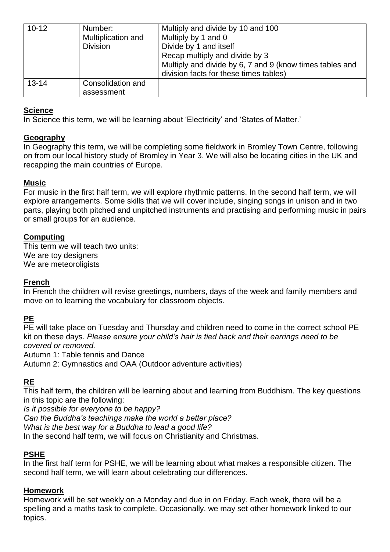| $10 - 12$ | Number:<br>Multiplication and<br><b>Division</b> | Multiply and divide by 10 and 100<br>Multiply by 1 and 0<br>Divide by 1 and itself<br>Recap multiply and divide by 3<br>Multiply and divide by 6, 7 and 9 (know times tables and<br>division facts for these times tables) |
|-----------|--------------------------------------------------|----------------------------------------------------------------------------------------------------------------------------------------------------------------------------------------------------------------------------|
| $13 - 14$ | Consolidation and<br>assessment                  |                                                                                                                                                                                                                            |

## **Science**

In Science this term, we will be learning about 'Electricity' and 'States of Matter.'

## **Geography**

In Geography this term, we will be completing some fieldwork in Bromley Town Centre, following on from our local history study of Bromley in Year 3. We will also be locating cities in the UK and recapping the main countries of Europe.

## **Music**

For music in the first half term, we will explore rhythmic patterns. In the second half term, we will explore arrangements. Some skills that we will cover include, singing songs in unison and in two parts, playing both pitched and unpitched instruments and practising and performing music in pairs or small groups for an audience.

## **Computing**

This term we will teach two units: We are toy designers We are meteoroligists

#### **French**

In French the children will revise greetings, numbers, days of the week and family members and move on to learning the vocabulary for classroom objects.

# **PE**

PE will take place on Tuesday and Thursday and children need to come in the correct school PE kit on these days. *Please ensure your child's hair is tied back and their earrings need to be covered or removed.* 

Autumn 1: Table tennis and Dance

Autumn 2: Gymnastics and OAA (Outdoor adventure activities)

# **RE**

This half term, the children will be learning about and learning from Buddhism. The key questions in this topic are the following:

*Is it possible for everyone to be happy?*

*Can the Buddha's teachings make the world a better place?*

*What is the best way for a Buddha to lead a good life?* 

In the second half term, we will focus on Christianity and Christmas.

# **PSHE**

In the first half term for PSHE, we will be learning about what makes a responsible citizen. The second half term, we will learn about celebrating our differences.

# **Homework**

Homework will be set weekly on a Monday and due in on Friday. Each week, there will be a spelling and a maths task to complete. Occasionally, we may set other homework linked to our topics.